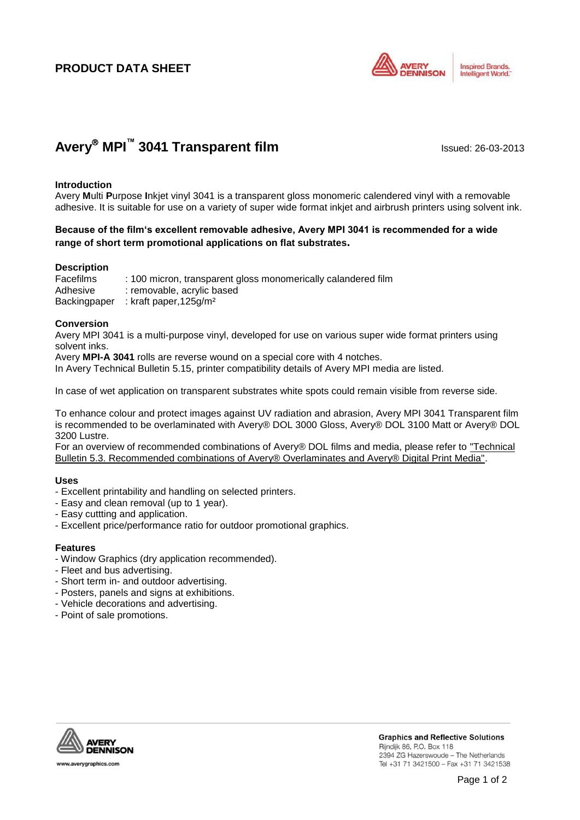# **PRODUCT DATA SHEET**



# **Avery<sup>®</sup> MPI<sup>™</sup> 3041 Transparent film** Issued: 26-03-2013

### **Introduction**

Avery **M**ulti **P**urpose **I**nkjet vinyl 3041 is a transparent gloss monomeric calendered vinyl with a removable adhesive. It is suitable for use on a variety of super wide format inkjet and airbrush printers using solvent ink.

# **Because of the film's excellent removable adhesive, Avery MPI 3041 is recommended for a wide range of short term promotional applications on flat substrates.**

## **Description**

Facefilms : 100 micron, transparent gloss monomerically calandered film Adhesive : removable, acrylic based Backingpaper : kraft paper,125g/m²

### **Conversion**

Avery MPI 3041 is a multi-purpose vinyl, developed for use on various super wide format printers using solvent inks.

Avery **MPI-A 3041** rolls are reverse wound on a special core with 4 notches.

In Avery Technical Bulletin 5.15, printer compatibility details of Avery MPI media are listed.

In case of wet application on transparent substrates white spots could remain visible from reverse side.

To enhance colour and protect images against UV radiation and abrasion, Avery MPI 3041 Transparent film is recommended to be overlaminated with Avery® DOL 3000 Gloss, Avery® DOL 3100 Matt or Avery® DOL 3200 Lustre.

For an overview of recommended combinations of Avery® DOL films and media, please refer to "Technical Bulletin 5.3. Recommended combinations of Avery® Overlaminates and Avery® Digital Print Media".

### **Uses**

- Excellent printability and handling on selected printers.
- Easy and clean removal (up to 1 year).
- Easy cuttting and application.
- Excellent price/performance ratio for outdoor promotional graphics.

### **Features**

- Window Graphics (dry application recommended).
- Fleet and bus advertising.
- Short term in- and outdoor advertising.
- Posters, panels and signs at exhibitions.
- Vehicle decorations and advertising.
- Point of sale promotions.



**Graphics and Reflective Solutions** Rijndijk 86, P.O. Box 118 2394 ZG Hazerswoude - The Netherlands Tel +31 71 3421500 - Fax +31 71 3421538